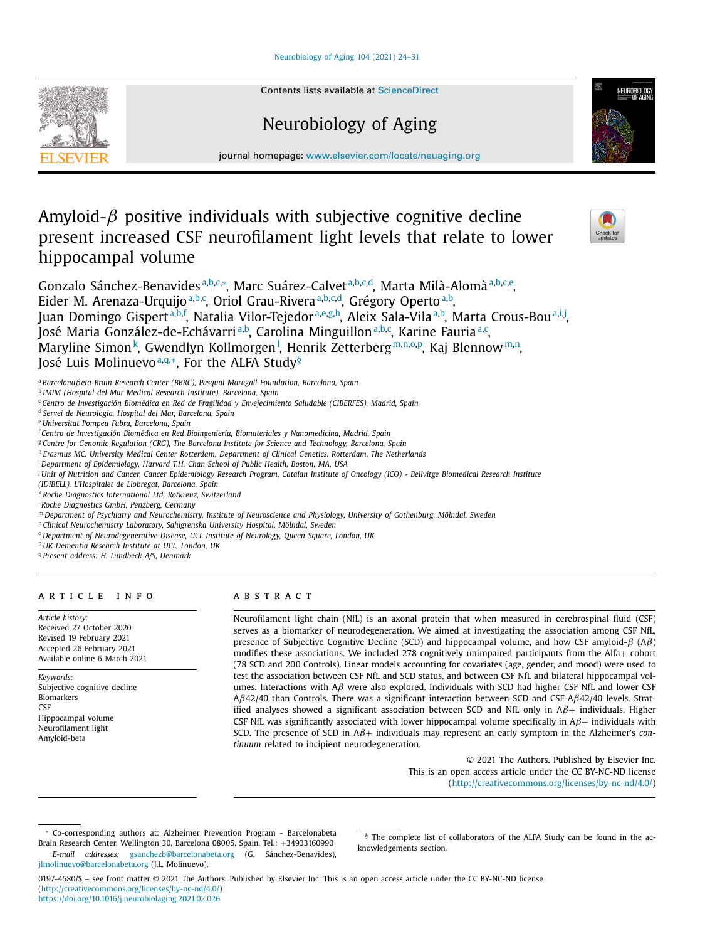## [Neurobiology](https://doi.org/10.1016/j.neurobiolaging.2021.02.026) of Aging 104 (2021) 24–31

Contents lists available at [ScienceDirect](http://www.ScienceDirect.com)

# Neurobiology of Aging

journal homepage: [www.elsevier.com/locate/neuaging.org](http://www.elsevier.com/locate/neuaging.org)

## Amyloid- $\beta$  positive individuals with subjective cognitive decline present increased CSF neurofilament light levels that relate to lower hippocampal volume

Gonzalo Sánchez-Benavidesª,b,c,\*, Marc Suárez-Calvetª,b,c,d, Marta Milà-Alomàª,b,c,e, Eider M. Arenaza-Urquijo<sup>a,b,c</sup>, Oriol Grau-Rivera<sup>a,b,c,d</sup>, Grégory Operto<sup>a,b</sup>, Juan Domingo Gispert<sup>a,b,f</sup>, Natalia Vilor-Tejedor<sup>a,e,g,h</sup>, Aleix Sala-Vila<sup>a,b</sup>, Marta Crous-Bou<sup>a,i,j</sup>, José Maria González-de-Echávarri<sup>a,b</sup>, Carolina Minguillon<sup>a,b,c</sup>, Karine Fauria<sup>a,c</sup>, Maryline Simon<sup>k</sup>, Gwendlyn Kollmorgen<sup>1</sup>, Henrik Zetterberg<sup>m,n,o,p</sup>, Kaj Blennow<sup>m,n</sup>, José Luis Molinuevo<sup>a,q,∗</sup>, For the ALFA Study<sup>§</sup>

<sup>a</sup> *Barcelona*β*eta Brain Research Center (BBRC), Pasqual Maragall Foundation, Barcelona, Spain*

<sup>b</sup> *IMIM (Hospital del Mar Medical Research Institute), Barcelona, Spain*

<sup>c</sup> *Centro de Investigación Biomédica en Red de Fragilidad y Envejecimiento Saludable (CIBERFES), Madrid, Spain*

<sup>d</sup> *Servei de Neurologia, Hospital del Mar, Barcelona, Spain*

<sup>e</sup> *Universitat Pompeu Fabra, Barcelona, Spain*

<sup>f</sup> *Centro de Investigación Biomédica en Red Bioingeniería, Biomateriales y Nanomedicina, Madrid, Spain*

<sup>g</sup> *Centre for Genomic Regulation (CRG), The Barcelona Institute for Science and Technology, Barcelona, Spain*

<sup>h</sup> *Erasmus MC. University Medical Center Rotterdam, Department of Clinical Genetics. Rotterdam, The Netherlands*

<sup>i</sup> *Department of Epidemiology, Harvard T.H. Chan School of Public Health, Boston, MA, USA*

<sup>j</sup> Unit of Nutrition and Cancer, Cancer Epidemiology Research Program, Catalan Institute of Oncology (ICO) - Bellvitge Biomedical Research Institute

*(IDIBELL). L'Hospitalet de Llobregat, Barcelona, Spain*

<sup>k</sup> *Roche Diagnostics International Ltd, Rotkreuz, Switzerland*

<sup>l</sup> *Roche Diagnostics GmbH, Penzberg, Germany*

m Department of Psychiatry and Neurochemistry, Institute of Neuroscience and Physiology, University of Gothenburg, Mölndal, Sweden

<sup>n</sup> *Clinical Neurochemistry Laboratory, Sahlgrenska University Hospital, Mölndal, Sweden*

<sup>o</sup> *Department of Neurodegenerative Disease, UCL Institute of Neurology, Queen Square, London, UK*

<sup>p</sup> *UK Dementia Research Institute at UCL, London, UK*

<sup>q</sup> *Present address: H. Lundbeck A/S, Denmark*

## a r t i c l e i n f o

*Article history:* Received 27 October 2020 Revised 19 February 2021 Accepted 26 February 2021 Available online 6 March 2021

*Keywords:* Subjective cognitive decline Biomarkers **CSF** Hippocampal volume Neurofilament light Amyloid-beta

[jlmolinuevo@barcelonabeta.org](mailto:jlmolinuevo@barcelonabeta.org) (J.L. Molinuevo).

## A B S T R A C T

Neurofilament light chain (NfL) is an axonal protein that when measured in cerebrospinal fluid (CSF) serves as a biomarker of neurodegeneration. We aimed at investigating the association among CSF NfL, presence of Subjective Cognitive Decline (SCD) and hippocampal volume, and how CSF amyloid- $β$  (A $β$ ) modifies these associations. We included 278 cognitively unimpaired participants from the Alfa+ cohort (78 SCD and 200 Controls). Linear models accounting for covariates (age, gender, and mood) were used to test the association between CSF NfL and SCD status, and between CSF NfL and bilateral hippocampal volumes. Interactions with  $A\beta$  were also explored. Individuals with SCD had higher CSF NfL and lower CSF Aβ42/40 than Controls. There was a significant interaction between SCD and CSF-Aβ42/40 levels. Stratified analyses showed a significant association between SCD and NfL only in  $A\beta$ + individuals. Higher CSF NfL was significantly associated with lower hippocampal volume specifically in  $A\beta$ + individuals with SCD. The presence of SCD in <sup>A</sup>β<sup>+</sup> individuals may represent an early symptom in the Alzheimer's *continuum* related to incipient neurodegeneration.

> © 2021 The Authors. Published by Elsevier Inc. This is an open access article under the CC BY-NC-ND license [\(http://creativecommons.org/licenses/by-nc-nd/4.0/\)](http://creativecommons.org/licenses/by-nc-nd/4.0/)

<sup>∗</sup> Co-corresponding authors at: Alzheimer Prevention Program - Barcelonabeta Brain Research Center, Wellington 30, Barcelona 08005, Spain. Tel.: +34933160990 *E-mail addresses:* [gsanchezb@barcelonabeta.org](mailto:gsanchezb@barcelonabeta.org) (G. Sánchez-Benavides),

0197-4580/\$ – see front matter © 2021 The Authors. Published by Elsevier Inc. This is an open access article under the CC BY-NC-ND license [\(http://creativecommons.org/licenses/by-nc-nd/4.0/\)](http://creativecommons.org/licenses/by-nc-nd/4.0/) <https://doi.org/10.1016/j.neurobiolaging.2021.02.026>







<sup>§</sup> The complete list of collaborators of the ALFA Study can be found in the acknowledgements section.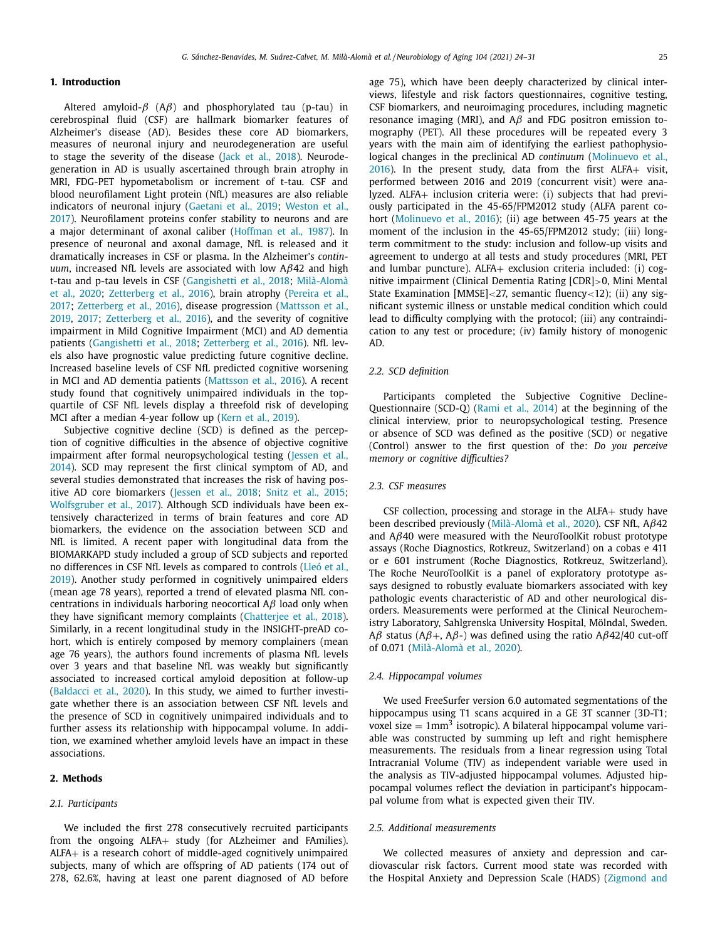## **1. Introduction**

Altered amyloid- $\beta$  (A $\beta$ ) and phosphorylated tau (p-tau) in cerebrospinal fluid (CSF) are hallmark biomarker features of Alzheimer's disease (AD). Besides these core AD biomarkers, measures of neuronal injury and neurodegeneration are useful to stage the severity of the disease (Jack et al., [2018\)](#page-6-0). Neurodegeneration in AD is usually ascertained through brain atrophy in MRI, FDG-PET hypometabolism or increment of t-tau. CSF and blood neurofilament Light protein (NfL) measures are also reliable indicators of neuronal injury [\(Gaetani](#page-6-0) et al., 2019; Weston et al., 2017). [Neurofilament](#page-7-0) proteins confer stability to neurons and are a major determinant of axonal caliber [\(Hoffman](#page-6-0) et al., 1987). In presence of neuronal and axonal damage, NfL is released and it dramatically increases in CSF or plasma. In the Alzheimer's *continuum*, increased NfL levels are associated with low Aβ42 and high t-tau and p-tau levels in CSF [\(](#page-7-0)[Gangishetti](#page-6-0) et al., 2018; Milà-Alomà et al., 2020; [Zetterberg](#page-7-0) et al., 2016), brain atrophy (Pereira et al., 2017; [Zetterberg](#page-7-0) et al., 2016), disease [progression](#page-7-0) (Mattsson et al., 2019, [2017;](#page-6-0) [Zetterberg](#page-7-0) et al., 2016), and the severity of cognitive impairment in Mild Cognitive Impairment (MCI) and AD dementia patients [\(Gangishetti](#page-6-0) et al., 2018; [Zetterberg](#page-7-0) et al., 2016). NfL levels also have prognostic value predicting future cognitive decline. Increased baseline levels of CSF NfL predicted cognitive worsening in MCI and AD dementia patients [\(Mattsson](#page-6-0) et al., 2016). A recent study found that cognitively unimpaired individuals in the topquartile of CSF NfL levels display a threefold risk of developing MCI after a median 4-year follow up (Kern et al., [2019\)](#page-6-0).

Subjective cognitive decline (SCD) is defined as the perception of cognitive difficulties in the absence of objective cognitive impairment after formal [neuropsychological](#page-6-0) testing (Jessen et al., 2014). SCD may represent the first clinical symptom of AD, and several studies demonstrated that increases the risk of having positive AD core biomarkers [\(Jessen](#page-6-0) et al., 2018; Snitz et al., [2015;](#page-7-0) [Wolfsgruber](#page-7-0) et al., 2017). Although SCD individuals have been extensively characterized in terms of brain features and core AD biomarkers, the evidence on the association between SCD and NfL is limited. A recent paper with longitudinal data from the BIOMARKAPD study included a group of SCD subjects and reported no differences in CSF NfL levels as compared to controls (Lleó et al., 2019). Another study performed in cognitively [unimpaired](#page-6-0) elders (mean age 78 years), reported a trend of elevated plasma NfL concentrations in individuals harboring neocortical  $A\beta$  load only when they have significant memory complaints [\(Chatterjee](#page-6-0) et al., 2018). Similarly, in a recent longitudinal study in the INSIGHT-preAD cohort, which is entirely composed by memory complainers (mean age 76 years), the authors found increments of plasma NfL levels over 3 years and that baseline NfL was weakly but significantly associated to increased cortical amyloid deposition at follow-up [\(Baldacci](#page-6-0) et al., 2020). In this study, we aimed to further investigate whether there is an association between CSF NfL levels and the presence of SCD in cognitively unimpaired individuals and to further assess its relationship with hippocampal volume. In addition, we examined whether amyloid levels have an impact in these associations.

## **2. Methods**

## *2.1. Participants*

We included the first 278 consecutively recruited participants from the ongoing ALFA+ study (for ALzheimer and FAmilies). ALFA+ is a research cohort of middle-aged cognitively unimpaired subjects, many of which are offspring of AD patients (174 out of 278, 62.6%, having at least one parent diagnosed of AD before

age 75), which have been deeply characterized by clinical interviews, lifestyle and risk factors questionnaires, cognitive testing, CSF biomarkers, and neuroimaging procedures, including magnetic resonance imaging (MRI), and  $A\beta$  and FDG positron emission tomography (PET). All these procedures will be repeated every 3 years with the main aim of identifying the earliest pathophysiological changes in the preclinical AD *continuum* [\(Molinuevo](#page-7-0) et al., 2016). In the present study, data from the first ALFA+ visit, performed between 2016 and 2019 (concurrent visit) were analyzed. ALFA+ inclusion criteria were: (i) subjects that had previously participated in the 45-65/FPM2012 study (ALFA parent cohort [\(Molinuevo](#page-7-0) et al., 2016); (ii) age between 45-75 years at the moment of the inclusion in the 45-65/FPM2012 study; (iii) longterm commitment to the study: inclusion and follow-up visits and agreement to undergo at all tests and study procedures (MRI, PET and lumbar puncture). ALFA+ exclusion criteria included: (i) cognitive impairment (Clinical Dementia Rating [CDR]>0, Mini Mental State Examination [MMSE]<27, semantic fluency<12); (ii) any significant systemic illness or unstable medical condition which could lead to difficulty complying with the protocol; (iii) any contraindication to any test or procedure; (iv) family history of monogenic AD.

## *2.2. SCD definition*

Participants completed the Subjective Cognitive Decline-Questionnaire (SCD-Q) [\(Rami](#page-7-0) et al., 2014) at the beginning of the clinical interview, prior to neuropsychological testing. Presence or absence of SCD was defined as the positive (SCD) or negative (Control) answer to the first question of the: *Do you perceive memory or cognitive difficulties?*

### *2.3. CSF measures*

CSF collection, processing and storage in the  $ALFA+$  study have been described previously [\(Milà-Alomà et](#page-7-0) al., 2020). CSF NfL, Aβ42 and  $A\beta$ 40 were measured with the NeuroToolKit robust prototype assays (Roche Diagnostics, Rotkreuz, Switzerland) on a cobas e 411 or e 601 instrument (Roche Diagnostics, Rotkreuz, Switzerland). The Roche NeuroToolKit is a panel of exploratory prototype assays designed to robustly evaluate biomarkers associated with key pathologic events characteristic of AD and other neurological disorders. Measurements were performed at the Clinical Neurochemistry Laboratory, Sahlgrenska University Hospital, Mölndal, Sweden. Aβ status (Aβ+, Aβ-) was defined using the ratio Aβ42/40 cut-off of 0.071 [\(Milà-Alomà et](#page-7-0) al., 2020).

#### *2.4. Hippocampal volumes*

We used FreeSurfer version 6.0 automated segmentations of the hippocampus using T1 scans acquired in a GE 3T scanner (3D-T1; voxel size  $= 1$ mm<sup>3</sup> isotropic). A bilateral hippocampal volume variable was constructed by summing up left and right hemisphere measurements. The residuals from a linear regression using Total Intracranial Volume (TIV) as independent variable were used in the analysis as TIV-adjusted hippocampal volumes. Adjusted hippocampal volumes reflect the deviation in participant's hippocampal volume from what is expected given their TIV.

## *2.5. Additional measurements*

We collected measures of anxiety and depression and cardiovascular risk factors. Current mood state was recorded with the Hospital Anxiety and Depression Scale (HADS) [\(Zigmond](#page-7-0) and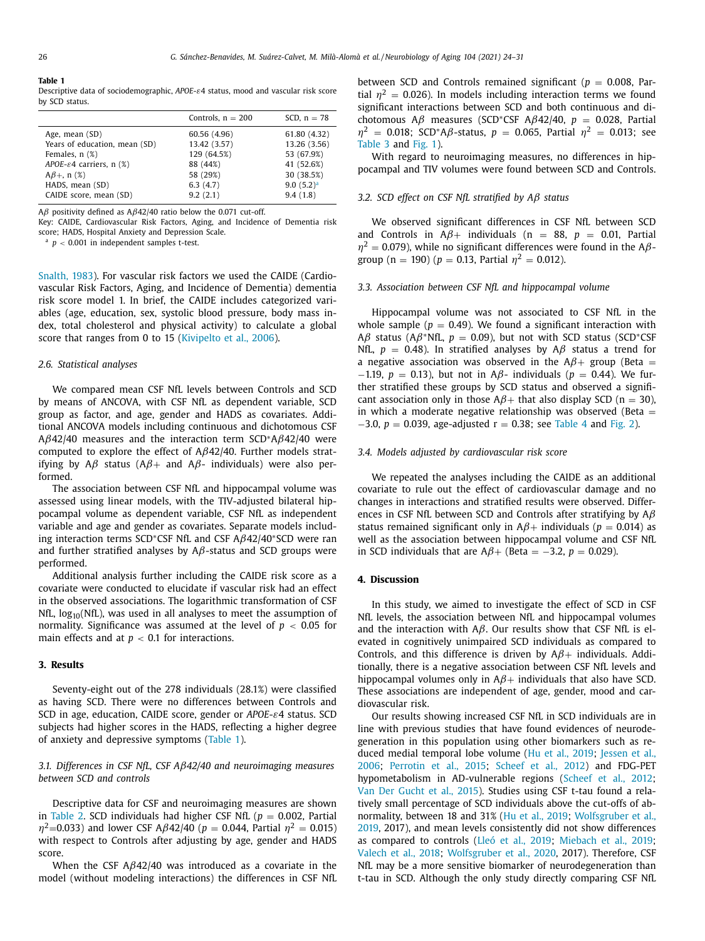| . . | $\sim$ |
|-----|--------|
|     |        |

Descriptive data of sociodemographic, *APOE*-ε4 status, mood and vascular risk score by SCD status.

|                                       | Controls, $n = 200$ | SCD, $n = 78$ |
|---------------------------------------|---------------------|---------------|
| Age, mean (SD)                        | 60.56 (4.96)        | 61.80 (4.32)  |
| Years of education, mean (SD)         | 13.42 (3.57)        | 13.26 (3.56)  |
| Females, $n$ $(\%)$                   | 129 (64.5%)         | 53 (67.9%)    |
| APOE- $\varepsilon$ 4 carriers, n (%) | 88 (44%)            | 41 (52.6%)    |
| $A\beta +$ , n (%)                    | 58 (29%)            | 30 (38.5%)    |
| HADS, mean (SD)                       | 6.3(4.7)            | $9.0(5.2)^a$  |
| CAIDE score, mean (SD)                | 9.2(2.1)            | 9.4(1.8)      |

Aβ positivity defined as  $Aβ42/40$  ratio below the 0.071 cut-off.

Key: CAIDE, Cardiovascular Risk Factors, Aging, and Incidence of Dementia risk score; HADS, Hospital Anxiety and Depression Scale.

 $a$   $p$  < 0.001 in independent samples t-test.

[Snalth,](#page-7-0) 1983). For vascular risk factors we used the CAIDE (Cardiovascular Risk Factors, Aging, and Incidence of Dementia) dementia risk score model 1. In brief, the CAIDE includes categorized variables (age, education, sex, systolic blood pressure, body mass index, total cholesterol and physical activity) to calculate a global score that ranges from 0 to 15 [\(Kivipelto](#page-6-0) et al., 2006).

## *2.6. Statistical analyses*

We compared mean CSF NfL levels between Controls and SCD by means of ANCOVA, with CSF NfL as dependent variable, SCD group as factor, and age, gender and HADS as covariates. Additional ANCOVA models including continuous and dichotomous CSF  $A\beta$ 42/40 measures and the interaction term SCD<sup>\*</sup>A $\beta$ 42/40 were computed to explore the effect of  $A\beta$ 42/40. Further models stratifying by A $\beta$  status (A $\beta$ + and A $\beta$ - individuals) were also performed.

The association between CSF NfL and hippocampal volume was assessed using linear models, with the TIV-adjusted bilateral hippocampal volume as dependent variable, CSF NfL as independent variable and age and gender as covariates. Separate models including interaction terms SCD∗CSF NfL and CSF Aβ42/40∗SCD were ran and further stratified analyses by  $A\beta$ -status and SCD groups were performed.

Additional analysis further including the CAIDE risk score as a covariate were conducted to elucidate if vascular risk had an effect in the observed associations. The logarithmic transformation of CSF NfL,  $log_{10}(NfL)$ , was used in all analyses to meet the assumption of normality. Significance was assumed at the level of *p* < 0.05 for main effects and at  $p < 0.1$  for interactions.

## **3. Results**

Seventy-eight out of the 278 individuals (28.1%) were classified as having SCD. There were no differences between Controls and SCD in age, education, CAIDE score, gender or *APOE*-ε4 status. SCD subjects had higher scores in the HADS, reflecting a higher degree of anxiety and depressive symptoms (Table 1).

## *3.1. Differences in CSF NfL, CSF A*β*42/40 and neuroimaging measures between SCD and controls*

Descriptive data for CSF and neuroimaging measures are shown in [Table](#page-3-0) 2. SCD individuals had higher CSF NfL ( $p = 0.002$ , Partial  $\eta^2$ =0.033) and lower CSF A $\beta$ 42/40 ( $p = 0.044$ , Partial  $\eta^2 = 0.015$ ) with respect to Controls after adjusting by age, gender and HADS score.

When the CSF  $A\beta$ 42/40 was introduced as a covariate in the model (without modeling interactions) the differences in CSF NfL between SCD and Controls remained significant ( $p = 0.008$ , Partial  $\eta^2 = 0.026$ ). In models including interaction terms we found significant interactions between SCD and both continuous and dichotomous A $\beta$  measures (SCD<sup>\*</sup>CSF A $\beta$ 42/40,  $p = 0.028$ , Partial  $\eta^2$  = 0.018; SCD<sup>\*</sup>A $\beta$ -status,  $p$  = 0.065, Partial  $\eta^2$  = 0.013; see [Table](#page-3-0) 3 and [Fig.](#page-3-0) 1).

With regard to neuroimaging measures, no differences in hippocampal and TIV volumes were found between SCD and Controls.

## *3.2. SCD effect on CSF NfL stratified by A*β *status*

We observed significant differences in CSF NfL between SCD and Controls in  $A\beta$ + individuals (n = 88, p = 0.01, Partial  $\eta^2$  = 0.079), while no significant differences were found in the A $\beta$ group ( $n = 190$ ) ( $p = 0.13$ , Partial  $\eta^2 = 0.012$ ).

## *3.3. Association between CSF NfL and hippocampal volume*

Hippocampal volume was not associated to CSF NfL in the whole sample ( $p = 0.49$ ). We found a significant interaction with Aβ status (Aβ<sup>\*</sup>NfL,  $p = 0.09$ ), but not with SCD status (SCD<sup>\*</sup>CSF NfL,  $p = 0.48$ ). In stratified analyses by A $\beta$  status a trend for a negative association was observed in the  $A\beta$ + group (Beta = <sup>−</sup>1.19, *<sup>p</sup>* <sup>=</sup> 0.13), but not in <sup>A</sup>β- individuals (*<sup>p</sup>* <sup>=</sup> 0.44). We further stratified these groups by SCD status and observed a significant association only in those  $A\beta$ + that also display SCD (n = 30), in which a moderate negative relationship was observed (Beta  $=$  $-3.0, p = 0.039$ , age-adjusted  $r = 0.38$ ; see [Table](#page-3-0) 4 and [Fig.](#page-4-0) 2).

#### *3.4. Models adjusted by cardiovascular risk score*

We repeated the analyses including the CAIDE as an additional covariate to rule out the effect of cardiovascular damage and no changes in interactions and stratified results were observed. Differences in CSF NfL between SCD and Controls after stratifying by  $A\beta$ status remained significant only in  $A\beta$ + individuals ( $p = 0.014$ ) as well as the association between hippocampal volume and CSF NfL in SCD individuals that are  $A\beta$ + (Beta = -3.2, *p* = 0.029).

## **4. Discussion**

In this study, we aimed to investigate the effect of SCD in CSF NfL levels, the association between NfL and hippocampal volumes and the interaction with  $A\beta$ . Our results show that CSF NfL is elevated in cognitively unimpaired SCD individuals as compared to Controls, and this difference is driven by  $A\beta$ + individuals. Additionally, there is a negative association between CSF NfL levels and hippocampal volumes only in  $A\beta$ + individuals that also have SCD. These associations are independent of age, gender, mood and cardiovascular risk.

Our results showing increased CSF NfL in SCD individuals are in line with previous studies that have found evidences of neurodegeneration in this population using other biomarkers such as reduced medial [temporal](#page-6-0) lobe volume (Hu et al., [2019;](#page-6-0) Jessen et al., 2006; [Perrotin](#page-7-0) et al., 2015; [Scheef](#page-7-0) et al., 2012) and FDG-PET hypometabolism in AD-vulnerable regions [\(Scheef](#page-7-0) et al., 2012; Van Der [Gucht](#page-7-0) et al., 2015). Studies using CSF t-tau found a relatively small percentage of SCD individuals above the cut-offs of abnormality, between 18 and 31% (Hu et al., [2019;](#page-6-0) [Wolfsgruber](#page-7-0) et al., 2019, 2017), and mean levels consistently did not show differences as compared to controls [\(Lleó et](#page-6-0) al., 2019; [Miebach](#page-6-0) et al., 2019; [Valech](#page-7-0) et al., 2018; [Wolfsgruber](#page-7-0) et al., 2020, 2017). Therefore, CSF NfL may be a more sensitive biomarker of neurodegeneration than t-tau in SCD. Although the only study directly comparing CSF NfL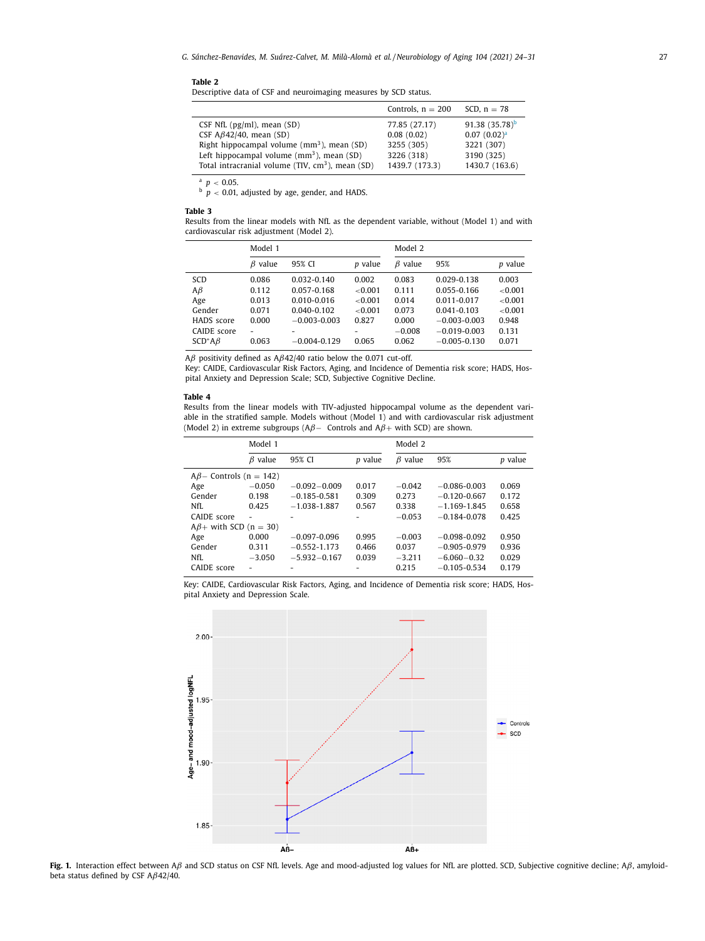<span id="page-3-0"></span>

| Table |  |
|-------|--|
|-------|--|

Descriptive data of CSF and neuroimaging measures by SCD status.

|                                                              | Controls, $n = 200$ | SCD, $n = 78$           |
|--------------------------------------------------------------|---------------------|-------------------------|
| CSF NfL $(pg/ml)$ , mean $(SD)$                              | 77.85 (27.17)       | 91.38 $(35.78)^b$       |
| CSF $A\beta$ 42/40, mean (SD)                                | 0.08(0.02)          | 0.07(0.02) <sup>a</sup> |
| Right hippocampal volume $(mm^3)$ , mean $(SD)$              | 3255 (305)          | 3221 (307)              |
| Left hippocampal volume $(mm3)$ , mean $(SD)$                | 3226 (318)          | 3190 (325)              |
| Total intracranial volume (TIV, cm <sup>3</sup> ), mean (SD) | 1439.7 (173.3)      | 1430.7 (163.6)          |

 $p < 0.05$ .

 $b$   $p$   $<$  0.01, adjusted by age, gender, and HADS.

#### **Table 3**

Results from the linear models with NfL as the dependent variable, without (Model 1) and with cardiovascular risk adjustment (Model 2).

|               | Model 1       |                  | Model 2 |               |                  |            |
|---------------|---------------|------------------|---------|---------------|------------------|------------|
|               | $\beta$ value | 95% CI           | p value | $\beta$ value | 95%              | p value    |
| SCD           | 0.086         | $0.032 - 0.140$  | 0.002   | 0.083         | 0.029-0.138      | 0.003      |
| $A\beta$      | 0.112         | 0.057-0.168      | < 0.001 | 0.111         | 0.055-0.166      | ${<}0.001$ |
| Age           | 0.013         | $0.010 - 0.016$  | < 0.001 | 0.014         | $0.011 - 0.017$  | ${<}0.001$ |
| Gender        | 0.071         | $0.040 - 0.102$  | < 0.001 | 0.073         | $0.041 - 0.103$  | < 0.001    |
| HADS score    | 0.000         | $-0.003 - 0.003$ | 0.827   | 0.000         | $-0.003 - 0.003$ | 0.948      |
| CAIDE score   | ۰             |                  |         | $-0.008$      | $-0.019 - 0.003$ | 0.131      |
| $SCD^*A\beta$ | 0.063         | $-0.004 - 0.129$ | 0.065   | 0.062         | $-0.005 - 0.130$ | 0.071      |

Aβ positivity defined as  $Aβ42/40$  ratio below the 0.071 cut-off.

Key: CAIDE, Cardiovascular Risk Factors, Aging, and Incidence of Dementia risk score; HADS, Hospital Anxiety and Depression Scale; SCD, Subjective Cognitive Decline.

#### **Table 4**

Results from the linear models with TIV-adjusted hippocampal volume as the dependent variable in the stratified sample. Models without (Model 1) and with cardiovascular risk adjustment (Model 2) in extreme subgroups (A $\beta$ – Controls and A $\beta$ + with SCD) are shown.

|                               | Model 1       |                  |         |            | Model 2          |         |  |
|-------------------------------|---------------|------------------|---------|------------|------------------|---------|--|
|                               | $\beta$ value | 95% CI           | p value | value<br>Β | 95%              | p value |  |
| $A\beta$ – Controls (n = 142) |               |                  |         |            |                  |         |  |
| Age                           | $-0.050$      | $-0.092 - 0.009$ | 0.017   | $-0.042$   | $-0.086 - 0.003$ | 0.069   |  |
| Gender                        | 0.198         | $-0.185 - 0.581$ | 0.309   | 0.273      | $-0.120 - 0.667$ | 0.172   |  |
| NfI.                          | 0.425         | $-1.038 - 1.887$ | 0.567   | 0.338      | $-1.169 - 1.845$ | 0.658   |  |
| CAIDE score                   |               |                  |         | $-0.053$   | $-0.184 - 0.078$ | 0.425   |  |
| $A\beta$ + with SCD (n = 30)  |               |                  |         |            |                  |         |  |
| Age                           | 0.000         | $-0.097 - 0.096$ | 0.995   | $-0.003$   | $-0.098 - 0.092$ | 0.950   |  |
| Gender                        | 0.311         | $-0.552 - 1.173$ | 0.466   | 0.037      | $-0.905 - 0.979$ | 0.936   |  |
| NfI.                          | $-3.050$      | $-5.932 - 0.167$ | 0.039   | $-3.211$   | $-6.060 - 0.32$  | 0.029   |  |
| CAIDE score                   |               |                  |         | 0.215      | $-0.105 - 0.534$ | 0.179   |  |

Key: CAIDE, Cardiovascular Risk Factors, Aging, and Incidence of Dementia risk score; HADS, Hospital Anxiety and Depression Scale.



**Fig. 1.** Interaction effect between Aβ and SCD status on CSF NfL levels. Age and mood-adjusted log values for NfL are plotted. SCD, Subjective cognitive decline; Aβ, amyloidbeta status defined by CSF  $A\beta$ 42/40.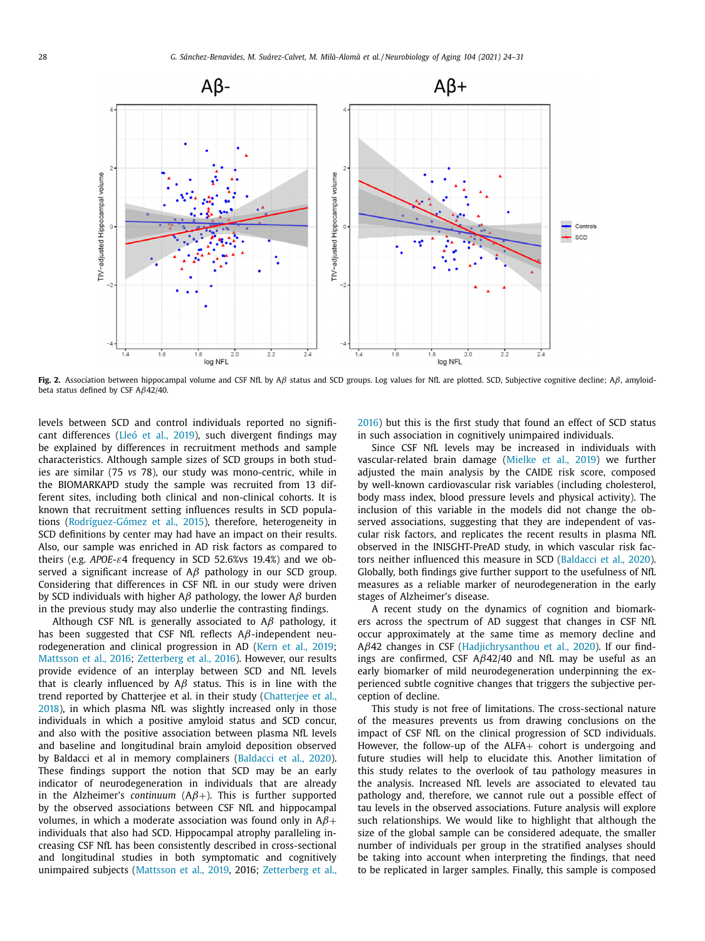<span id="page-4-0"></span>

**Fig. 2.** Association between hippocampal volume and CSF NfL by Aβ status and SCD groups. Log values for NfL are plotted. SCD, Subjective cognitive decline; Aβ, amyloidbeta status defined by CSF Aβ42/40.

levels between SCD and control individuals reported no significant differences [\(Lleó et](#page-6-0) al., 2019), such divergent findings may be explained by differences in recruitment methods and sample characteristics. Although sample sizes of SCD groups in both studies are similar (75 *vs* 78), our study was mono-centric, while in the BIOMARKAPD study the sample was recruited from 13 different sites, including both clinical and non-clinical cohorts. It is known that recruitment setting influences results in SCD populations [\(Rodríguez-Gómez](#page-7-0) et al., 2015), therefore, heterogeneity in SCD definitions by center may had have an impact on their results. Also, our sample was enriched in AD risk factors as compared to theirs (e.g. *APOE*-ε4 frequency in SCD 52.6%vs 19.4%) and we observed a significant increase of  $A\beta$  pathology in our SCD group. Considering that differences in CSF NfL in our study were driven by SCD individuals with higher A $\beta$  pathology, the lower A $\beta$  burden in the previous study may also underlie the contrasting findings.

Although CSF NfL is generally associated to  $A\beta$  pathology, it has been suggested that CSF NfL reflects  $A\beta$ -independent neurodegeneration and clinical progression in AD (Kern et al., [2019;](#page-6-0) [Mattsson](#page-6-0) et al., 2016; [Zetterberg](#page-7-0) et al., 2016). However, our results provide evidence of an interplay between SCD and NfL levels that is clearly influenced by  $A\beta$  status. This is in line with the trend reported by Chatterjee et al. in their study [\(Chatterjee](#page-6-0) et al., 2018), in which plasma NfL was slightly increased only in those individuals in which a positive amyloid status and SCD concur, and also with the positive association between plasma NfL levels and baseline and longitudinal brain amyloid deposition observed by Baldacci et al in memory complainers [\(Baldacci](#page-6-0) et al., 2020). These findings support the notion that SCD may be an early indicator of neurodegeneration in individuals that are already in the Alzheimer's *continuum*  $(A\beta+)$ . This is further supported by the observed associations between CSF NfL and hippocampal volumes, in which a moderate association was found only in  $A\beta +$ individuals that also had SCD. Hippocampal atrophy paralleling increasing CSF NfL has been consistently described in cross-sectional and longitudinal studies in both symptomatic and cognitively unimpaired subjects [\(Mattsson](#page-6-0) et al., 2019, 2016; [Zetterberg](#page-7-0) et al., [2016\)](#page-7-0) but this is the first study that found an effect of SCD status in such association in cognitively unimpaired individuals.

Since CSF NfL levels may be increased in individuals with vascular-related brain damage [\(Mielke](#page-7-0) et al., 2019) we further adjusted the main analysis by the CAIDE risk score, composed by well-known cardiovascular risk variables (including cholesterol, body mass index, blood pressure levels and physical activity). The inclusion of this variable in the models did not change the observed associations, suggesting that they are independent of vascular risk factors, and replicates the recent results in plasma NfL observed in the INISGHT-PreAD study, in which vascular risk factors neither influenced this measure in SCD [\(Baldacci](#page-6-0) et al., 2020). Globally, both findings give further support to the usefulness of NfL measures as a reliable marker of neurodegeneration in the early stages of Alzheimer's disease.

A recent study on the dynamics of cognition and biomarkers across the spectrum of AD suggest that changes in CSF NfL occur approximately at the same time as memory decline and Aβ42 changes in CSF [\(Hadjichrysanthou](#page-6-0) et al., 2020). If our findings are confirmed, CSF  $A\beta$ 42/40 and NfL may be useful as an early biomarker of mild neurodegeneration underpinning the experienced subtle cognitive changes that triggers the subjective perception of decline.

This study is not free of limitations. The cross-sectional nature of the measures prevents us from drawing conclusions on the impact of CSF NfL on the clinical progression of SCD individuals. However, the follow-up of the ALFA+ cohort is undergoing and future studies will help to elucidate this. Another limitation of this study relates to the overlook of tau pathology measures in the analysis. Increased NfL levels are associated to elevated tau pathology and, therefore, we cannot rule out a possible effect of tau levels in the observed associations. Future analysis will explore such relationships. We would like to highlight that although the size of the global sample can be considered adequate, the smaller number of individuals per group in the stratified analyses should be taking into account when interpreting the findings, that need to be replicated in larger samples. Finally, this sample is composed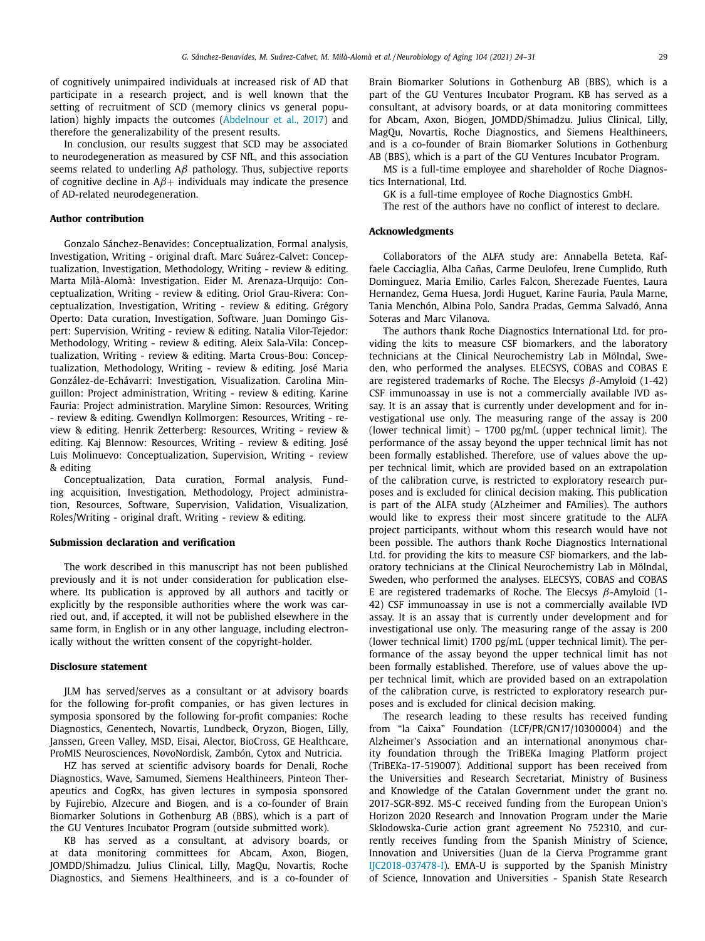<span id="page-5-0"></span>of cognitively unimpaired individuals at increased risk of AD that participate in a research project, and is well known that the setting of recruitment of SCD (memory clinics vs general population) highly impacts the outcomes [\(Abdelnour](#page-6-0) et al., 2017) and therefore the generalizability of the present results.

In conclusion, our results suggest that SCD may be associated to neurodegeneration as measured by CSF NfL, and this association seems related to underling  $A\beta$  pathology. Thus, subjective reports of cognitive decline in  $A\beta$ + individuals may indicate the presence of AD-related neurodegeneration.

## **Author contribution**

Gonzalo Sánchez-Benavides: Conceptualization, Formal analysis, Investigation, Writing - original draft. Marc Suárez-Calvet: Conceptualization, Investigation, Methodology, Writing - review & editing. Marta Milà-Alomà: Investigation. Eider M. Arenaza-Urquijo: Conceptualization, Writing - review & editing. Oriol Grau-Rivera: Conceptualization, Investigation, Writing - review & editing. Grégory Operto: Data curation, Investigation, Software. Juan Domingo Gispert: Supervision, Writing - review & editing. Natalia Vilor-Tejedor: Methodology, Writing - review & editing. Aleix Sala-Vila: Conceptualization, Writing - review & editing. Marta Crous-Bou: Conceptualization, Methodology, Writing - review & editing. José Maria González-de-Echávarri: Investigation, Visualization. Carolina Minguillon: Project administration, Writing - review & editing. Karine Fauria: Project administration. Maryline Simon: Resources, Writing - review & editing. Gwendlyn Kollmorgen: Resources, Writing - review & editing. Henrik Zetterberg: Resources, Writing - review & editing. Kaj Blennow: Resources, Writing - review & editing. José Luis Molinuevo: Conceptualization, Supervision, Writing - review & editing

Conceptualization, Data curation, Formal analysis, Funding acquisition, Investigation, Methodology, Project administration, Resources, Software, Supervision, Validation, Visualization, Roles/Writing - original draft, Writing - review & editing.

#### **Submission declaration and verification**

The work described in this manuscript has not been published previously and it is not under consideration for publication elsewhere. Its publication is approved by all authors and tacitly or explicitly by the responsible authorities where the work was carried out, and, if accepted, it will not be published elsewhere in the same form, in English or in any other language, including electronically without the written consent of the copyright-holder.

#### **Disclosure statement**

JLM has served/serves as a consultant or at advisory boards for the following for-profit companies, or has given lectures in symposia sponsored by the following for-profit companies: Roche Diagnostics, Genentech, Novartis, Lundbeck, Oryzon, Biogen, Lilly, Janssen, Green Valley, MSD, Eisai, Alector, BioCross, GE Healthcare, ProMIS Neurosciences, NovoNordisk, Zambón, Cytox and Nutricia.

HZ has served at scientific advisory boards for Denali, Roche Diagnostics, Wave, Samumed, Siemens Healthineers, Pinteon Therapeutics and CogRx, has given lectures in symposia sponsored by Fujirebio, Alzecure and Biogen, and is a co-founder of Brain Biomarker Solutions in Gothenburg AB (BBS), which is a part of the GU Ventures Incubator Program (outside submitted work).

KB has served as a consultant, at advisory boards, or at data monitoring committees for Abcam, Axon, Biogen, JOMDD/Shimadzu. Julius Clinical, Lilly, MagQu, Novartis, Roche Diagnostics, and Siemens Healthineers, and is a co-founder of Brain Biomarker Solutions in Gothenburg AB (BBS), which is a part of the GU Ventures Incubator Program. KB has served as a consultant, at advisory boards, or at data monitoring committees for Abcam, Axon, Biogen, JOMDD/Shimadzu. Julius Clinical, Lilly, MagQu, Novartis, Roche Diagnostics, and Siemens Healthineers, and is a co-founder of Brain Biomarker Solutions in Gothenburg AB (BBS), which is a part of the GU Ventures Incubator Program.

MS is a full-time employee and shareholder of Roche Diagnostics International, Ltd.

GK is a full-time employee of Roche Diagnostics GmbH.

The rest of the authors have no conflict of interest to declare.

## **Acknowledgments**

Collaborators of the ALFA study are: Annabella Beteta, Raffaele Cacciaglia, Alba Cañas, Carme Deulofeu, Irene Cumplido, Ruth Dominguez, Maria Emilio, Carles Falcon, Sherezade Fuentes, Laura Hernandez, Gema Huesa, Jordi Huguet, Karine Fauria, Paula Marne, Tania Menchón, Albina Polo, Sandra Pradas, Gemma Salvadó, Anna Soteras and Marc Vilanova.

The authors thank Roche Diagnostics International Ltd. for providing the kits to measure CSF biomarkers, and the laboratory technicians at the Clinical Neurochemistry Lab in Mölndal, Sweden, who performed the analyses. ELECSYS, COBAS and COBAS E are registered trademarks of Roche. The Elecsys  $β$ -Amyloid (1-42) CSF immunoassay in use is not a commercially available IVD assay. It is an assay that is currently under development and for investigational use only. The measuring range of the assay is 200 (lower technical limit) – 1700 pg/mL (upper technical limit). The performance of the assay beyond the upper technical limit has not been formally established. Therefore, use of values above the upper technical limit, which are provided based on an extrapolation of the calibration curve, is restricted to exploratory research purposes and is excluded for clinical decision making. This publication is part of the ALFA study (ALzheimer and FAmilies). The authors would like to express their most sincere gratitude to the ALFA project participants, without whom this research would have not been possible. The authors thank Roche Diagnostics International Ltd. for providing the kits to measure CSF biomarkers, and the laboratory technicians at the Clinical Neurochemistry Lab in Mölndal, Sweden, who performed the analyses. ELECSYS, COBAS and COBAS E are registered trademarks of Roche. The Elecsys  $\beta$ -Amyloid (1-42) CSF immunoassay in use is not a commercially available IVD assay. It is an assay that is currently under development and for investigational use only. The measuring range of the assay is 200 (lower technical limit) 1700 pg/mL (upper technical limit). The performance of the assay beyond the upper technical limit has not been formally established. Therefore, use of values above the upper technical limit, which are provided based on an extrapolation of the calibration curve, is restricted to exploratory research purposes and is excluded for clinical decision making.

The research leading to these results has received funding from "la Caixa" Foundation (LCF/PR/GN17/10300004) and the Alzheimer's Association and an international anonymous charity foundation through the TriBEKa Imaging Platform project (TriBEKa-17-519007). Additional support has been received from the Universities and Research Secretariat, Ministry of Business and Knowledge of the Catalan Government under the grant no. 2017-SGR-892. MS-C received funding from the European Union's Horizon 2020 Research and Innovation Program under the Marie Sklodowska-Curie action grant agreement No 752310, and currently receives funding from the Spanish Ministry of Science, Innovation and Universities (Juan de la Cierva Programme grant IJC2018-037478-I). EMA-U is supported by the Spanish Ministry of Science, Innovation and Universities - Spanish State Research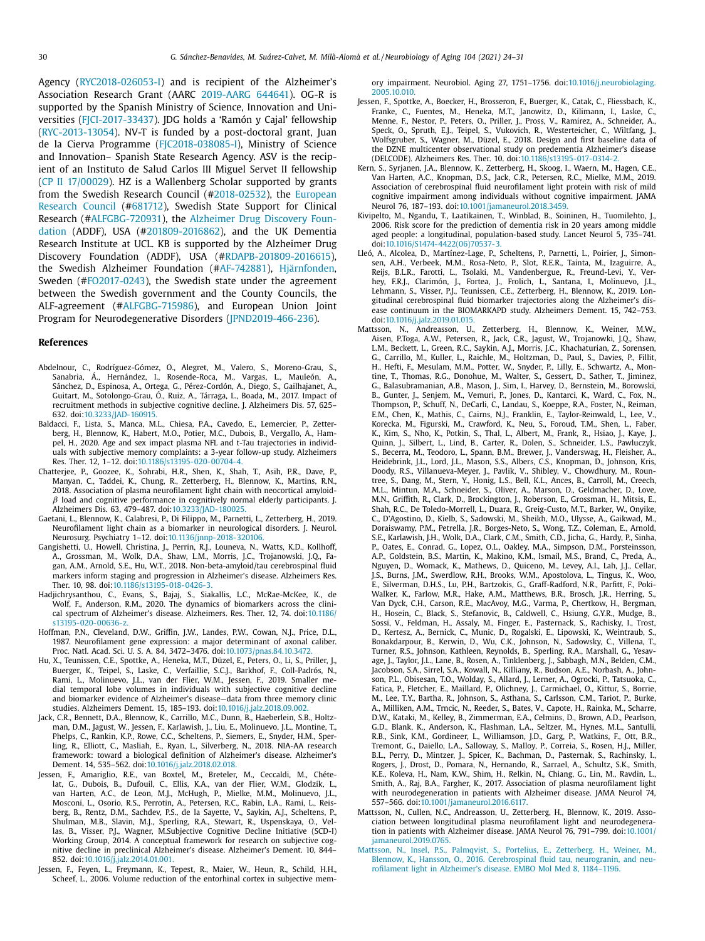<span id="page-6-0"></span>Agency [\(RYC2018-026053-I\)](#page-5-0) and is recipient of the Alzheimer's Association Research Grant (AARC 2019-AARG 644641). OG-R is supported by the Spanish Ministry of Science, Innovation and Universities (FJCI-2017-33437). JDG holds a 'Ramón y Cajal' fellowship (RYC-2013-13054). NV-T is funded by a post-doctoral grant, Juan de la Cierva Programme (FJC2018-038085-I), Ministry of Science and Innovation– Spanish State Research Agency. ASV is the recipient of an Instituto de Salud Carlos III Miguel Servet II fellowship (CP II 17/00029). HZ is a Wallenberg Scholar supported by grants from the Swedish Research Council [\(#2018-02532\),](https://doi.org/10.13039/501100000781) the European Research Council (#681712), Swedish State Support for Clinical Research (#ALFGBG-720931), the Alzheimer Drug Discovery Foundation (ADDF), USA [\(#201809-2016862\),](https://doi.org/10.13039/100002565) and the UK Dementia Research Institute at UCL. KB is supported by the Alzheimer Drug Discovery Foundation (ADDF), USA (#RDAPB-201809-2016615), the Swedish Alzheimer Foundation (#AF-742881), [Hjärnfonden,](https://doi.org/10.13039/501100003792) Sweden (#FO2017-0243), the Swedish state under the agreement between the Swedish government and the County Councils, the ALF-agreement (#ALFGBG-715986), and European Union Joint Program for Neurodegenerative Disorders (JPND2019-466-236).

#### **References**

- Abdelnour, C., Rodríguez-Gómez, O., Alegret, M., Valero, S., Moreno-Grau, S., Sanabria, Á., Hernández, I., Rosende-Roca, M., Vargas, L., Mauleón, A., Sánchez, D., Espinosa, A., Ortega, G., Pérez-Cordón, A., Diego, S., Gailhajanet, A., Guitart, M., Sotolongo-Grau, Ó., Ruiz, A., Tárraga, L., Boada, M., 2017. Impact of recruitment methods in subjective cognitive decline. J. Alzheimers Dis. 57, 625– 632. doi[:10.3233/JAD-160915.](https://doi.org/10.3233/JAD-160915)
- Baldacci, F., Lista, S., Manca, M.L., Chiesa, P.A., Cavedo, E., Lemercier, P., Zetterberg, H., Blennow, K., Habert, M.O., Potier, M.C., Dubois, B., Vergallo, A., Hampel, H., 2020. Age and sex impact plasma NFL and t-Tau trajectories in individuals with subjective memory complaints: a 3-year follow-up study. Alzheimers Res. Ther. 12, 1–12. doi[:10.1186/s13195-020-00704-4.](https://doi.org/10.1186/s13195-020-00704-4)
- Chatterjee, P., Goozee, K., Sohrabi, H.R., Shen, K., Shah, T., Asih, P.R., Dave, P., Manyan, C., Taddei, K., Chung, R., Zetterberg, H., Blennow, K., Martins, R.N., 2018. Association of plasma neurofilament light chain with neocortical amyloid- $\beta$  load and cognitive performance in cognitively normal elderly participants. J. Alzheimers Dis. 63, 479–487. doi[:10.3233/JAD-180025.](https://doi.org/10.3233/JAD-180025)
- Gaetani, L., Blennow, K., Calabresi, P., Di Filippo, M., Parnetti, L., Zetterberg, H., 2019. Neurofilament light chain as a biomarker in neurological disorders. J. Neurol. Neurosurg. Psychiatry 1–12. doi[:10.1136/jnnp-2018-320106.](https://doi.org/10.1136/jnnp-2018-320106)
- Gangishetti, U., Howell, Christina, J., Perrin, R.J., Louneva, N., Watts, K.D., Kollhoff, A., Grossman, M., Wolk, D.A., Shaw, L.M., Morris, J.C., Trojanowski, J.Q., Fagan, A.M., Arnold, S.E., Hu, W.T., 2018. Non-beta-amyloid/tau cerebrospinal fluid markers inform staging and progression in Alzheimer's disease. Alzheimers Res. Ther. 10, 98. doi[:10.1186/s13195-018-0426-3.](https://doi.org/10.1186/s13195-018-0426-3)
- Hadjichrysanthou, C., Evans, S., Bajaj, S., Siakallis, L.C., McRae-McKee, K., de Wolf, F., Anderson, R.M., 2020. The dynamics of biomarkers across the clinical spectrum of Alzheimer's disease. Alzheimers. Res. Ther. 12, 74. doi:10.1186/ [s13195-020-00636-z.](https://doi.org/10.1186/s13195-020-00636-z)
- Hoffman, P.N., Cleveland, D.W., Griffin, J.W., Landes, P.W., Cowan, N.J., Price, D.L., 1987. Neurofilament gene expression: a major determinant of axonal caliber. Proc. Natl. Acad. Sci. U. S. A. 84, 3472–3476. doi[:10.1073/pnas.84.10.3472.](https://doi.org/10.1073/pnas.84.10.3472)
- Hu, X., Teunissen, C.E., Spottke, A., Heneka, M.T., Düzel, E., Peters, O., Li, S., Priller, J., Buerger, K., Teipel, S., Laske, C., Verfaillie, S.C.J., Barkhof, F., Coll-Padrós, N., Rami, L., Molinuevo, J.L., van der Flier, W.M., Jessen, F., 2019. Smaller medial temporal lobe volumes in individuals with subjective cognitive decline and biomarker evidence of Alzheimer's disease—data from three memory clinic studies. Alzheimers Dement. 15, 185–193. doi[:10.1016/j.jalz.2018.09.002.](https://doi.org/10.1016/j.jalz.2018.09.002)
- Jack, C.R., Bennett, D.A., Blennow, K., Carrillo, M.C., Dunn, B., Haeberlein, S.B., Holtzman, D.M., Jagust, W., Jessen, F., Karlawish, J., Liu, E., Molinuevo, J.L., Montine, T., Phelps, C., Rankin, K.P., Rowe, C.C., Scheltens, P., Siemers, E., Snyder, H.M., Sperling, R., Elliott, C., Masliah, E., Ryan, L., Silverberg, N., 2018. NIA-AA research framework: toward a biological definition of Alzheimer's disease. Alzheimer's Dement. 14, 535–562. doi[:10.1016/j.jalz.2018.02.018.](https://doi.org/10.1016/j.jalz.2018.02.018)
- Jessen, F., Amariglio, R.E., van Boxtel, M., Breteler, M., Ceccaldi, M., Chételat, G., Dubois, B., Dufouil, C., Ellis, K.A., van der Flier, W.M., Glodzik, L., van Harten, A.C., de Leon, M.J., McHugh, P., Mielke, M.M., Molinuevo, J.L., Mosconi, L., Osorio, R.S., Perrotin, A., Petersen, R.C., Rabin, L.A., Rami, L., Reisberg, B., Rentz, D.M., Sachdev, P.S., de la Sayette, V., Saykin, A.J., Scheltens, P., Shulman, M.B., Slavin, M.J., Sperling, R.A., Stewart, R., Uspenskaya, O., Vellas, B., Visser, P.J., Wagner, M.Subjective Cognitive Decline Initiative (SCD-I) Working Group, 2014. A conceptual framework for research on subjective cognitive decline in preclinical Alzheimer's disease. Alzheimer's Dement. 10, 844– 852. doi[:10.1016/j.jalz.2014.01.001.](https://doi.org/10.1016/j.jalz.2014.01.001)
- Jessen, F., Feyen, L., Freymann, K., Tepest, R., Maier, W., Heun, R., Schild, H.H., Scheef, L., 2006. Volume reduction of the entorhinal cortex in subjective mem-

ory impairment. Neurobiol. Aging 27, 1751–1756. [doi:10.1016/j.neurobiolaging.](https://doi.org/10.1016/j.neurobiolaging.2005.10.010) 2005.10.010.

- Jessen, F., Spottke, A., Boecker, H., Brosseron, F., Buerger, K., Catak, C., Fliessbach, K., Franke, C., Fuentes, M., Heneka, M.T., Janowitz, D., Kilimann, I., Laske, C., Menne, F., Nestor, P., Peters, O., Priller, J., Pross, V., Ramirez, A., Schneider, A., Speck, O., Spruth, E.J., Teipel, S., Vukovich, R., Westerteicher, C., Wiltfang, J., Wolfsgruber, S., Wagner, M., Düzel, E., 2018. Design and first baseline data of the DZNE multicenter observational study on predementia Alzheimer's disease (DELCODE). Alzheimers Res. Ther. 10. doi[:10.1186/s13195-017-0314-2.](https://doi.org/10.1186/s13195-017-0314-2)
- Kern, S., Syrjanen, J.A., Blennow, K., Zetterberg, H., Skoog, I., Waern, M., Hagen, C.E., Van Harten, A.C., Knopman, D.S., Jack, C.R., Petersen, R.C., Mielke, M.M., 2019. Association of cerebrospinal fluid neurofilament light protein with risk of mild cognitive impairment among individuals without cognitive impairment. JAMA Neurol 76, 187–193. doi[:10.1001/jamaneurol.2018.3459.](https://doi.org/10.1001/jamaneurol.2018.3459)
- Kivipelto, M., Ngandu, T., Laatikainen, T., Winblad, B., Soininen, H., Tuomilehto, J., 2006. Risk score for the prediction of dementia risk in 20 years among middle aged people: a longitudinal, population-based study. Lancet Neurol 5, 735–741. doi[:10.1016/S1474-4422\(06\)70537-3.](https://doi.org/10.1016/S1474-4422(06)70537-3)
- Lleó, A., Alcolea, D., Martínez-Lage, P., Scheltens, P., Parnetti, L., Poirier, J., Simonsen, A.H., Verbeek, M.M., Rosa-Neto, P., Slot, R.E.R., Tainta, M., Izaguirre, A., Reijs, B.L.R., Farotti, L., Tsolaki, M., Vandenbergue, R., Freund-Levi, Y., Verhey, F.R.J., Clarimón, J., Fortea, J., Frolich, L., Santana, I., Molinuevo, J.L., Lehmann, S., Visser, P.J., Teunissen, C.E., Zetterberg, H., Blennow, K., 2019. Longitudinal cerebrospinal fluid biomarker trajectories along the Alzheimer's disease continuum in the BIOMARKAPD study. Alzheimers Dement. 15, 742–753. doi[:10.1016/j.jalz.2019.01.015.](https://doi.org/10.1016/j.jalz.2019.01.015)
- Mattsson, N., Andreasson, U., Zetterberg, H., Blennow, K., Weiner, M.W., Aisen, P.Toga, A.W., Petersen, R., Jack, C.R., Jagust, W., Trojanowki, J.Q., Shaw, L.M., Beckett, L., Green, R.C., Saykin, A.J., Morris, J.C., Khachaturian, Z., Sorensen, G., Carrillo, M., Kuller, L., Raichle, M., Holtzman, D., Paul, S., Davies, P., Fillit, H., Hefti, F., Mesulam, M.M., Potter, W., Snyder, P., Lilly, E., Schwartz, A., Montine, T., Thomas, R.G., Donohue, M., Walter, S., Gessert, D., Sather, T., Jiminez, G., Balasubramanian, A.B., Mason, J., Sim, I., Harvey, D., Bernstein, M., Borowski, B., Gunter, J., Senjem, M., Vemuri, P., Jones, D., Kantarci, K., Ward, C., Fox, N., Thompson, P., Schuff, N., DeCarli, C., Landau, S., Koeppe, R.A., Foster, N., Reiman, E.M., Chen, K., Mathis, C., Cairns, N.J., Franklin, E., Taylor-Reinwald, L., Lee, V., Korecka, M., Figurski, M., Crawford, K., Neu, S., Foroud, T.M., Shen, L., Faber, K., Kim, S., Nho, K., Potkin, S., Thal, L., Albert, M., Frank, R., Hsiao, J., Kaye, J., Quinn, J., Silbert, L., Lind, B., Carter, R., Dolen, S., Schneider, L.S., Pawluczyk, S., Becerra, M., Teodoro, L., Spann, B.M., Brewer, J., Vanderswag, H., Fleisher, A., Heidebrink, J.L., Lord, J.L., Mason, S.S., Albers, C.S., Knopman, D., Johnson, Kris, Doody, R.S., Villanueva-Meyer, J., Pavlik, V., Shibley, V., Chowdhury, M., Rountree, S., Dang, M., Stern, Y., Honig, L.S., Bell, K.L., Ances, B., Carroll, M., Creech, M.L., Mintun, M.A., Schneider, S., Oliver, A., Marson, D., Geldmacher, D., Love, M.N., Griffith, R., Clark, D., Brockington, J., Roberson, E., Grossman, H., Mitsis, E., Shah, R.C., De Toledo-Morrell, L., Duara, R., Greig-Custo, M.T., Barker, W., Onyike, C., D'Agostino, D., Kielb, S., Sadowski, M., Sheikh, M.O., Ulysse, A., Gaikwad, M., Doraiswamy, P.M., Petrella, J.R., Borges-Neto, S., Wong, T.Z., Coleman, E., Arnold, S.E., Karlawish, J.H., Wolk, D.A., Clark, C.M., Smith, C.D., Jicha, G., Hardy, P., Sinha, P., Oates, E., Conrad, G., Lopez, O.L., Oakley, M.A., Simpson, D.M., Porsteinsson, A.P., Goldstein, B.S., Martin, K., Makino, K.M., Ismail, M.S., Brand, C., Preda, A., Nguyen, D., Womack, K., Mathews, D., Quiceno, M., Levey, A.I., Lah, J.J., Cellar, J.S., Burns, J.M., Swerdlow, R.H., Brooks, W.M., Apostolova, L., Tingus, K., Woo, E., Silverman, D.H.S., Lu, P.H., Bartzokis, G., Graff-Radford, N.R., Parfitt, F., Poki-Walker, K., Farlow, M.R., Hake, A.M., Matthews, B.R., Brosch, J.R., Herring, S., Van Dyck, C.H., Carson, R.E., MacAvoy, M.G., Varma, P., Chertkow, H., Bergman, H., Hosein, C., Black, S., Stefanovic, B., Caldwell, C., Hsiung, G.Y.R., Mudge, B., Sossi, V., Feldman, H., Assaly, M., Finger, E., Pasternack, S., Rachisky, I., Trost, D., Kertesz, A., Bernick, C., Munic, D., Rogalski, E., Lipowski, K., Weintraub, S., Bonakdarpour, B., Kerwin, D., Wu, C.K., Johnson, N., Sadowsky, C., Villena, T., Turner, R.S., Johnson, Kathleen, Reynolds, B., Sperling, R.A., Marshall, G., Yesavage, J., Taylor, J.L., Lane, B., Rosen, A., Tinklenberg, J., Sabbagh, M.N., Belden, C.M., Jacobson, S.A., Sirrel, S.A., Kowall, N., Killiany, R., Budson, A.E., Norbash, A., Johnson, P.L., Obisesan, T.O., Wolday, S., Allard, J., Lerner, A., Ogrocki, P., Tatsuoka, C., Fatica, P., Fletcher, E., Maillard, P., Olichney, J., Carmichael, O., Kittur, S., Borrie, M., Lee, T.Y., Bartha, R., Johnson, S., Asthana, S., Carlsson, C.M., Tariot, P., Burke, A., Milliken, A.M., Trncic, N., Reeder, S., Bates, V., Capote, H., Rainka, M., Scharre, D.W., Kataki, M., Kelley, B., Zimmerman, E.A., Celmins, D., Brown, A.D., Pearlson, G.D., Blank, K., Anderson, K., Flashman, L.A., Seltzer, M., Hynes, M.L., Santulli, R.B., Sink, K.M., Gordineer, L., Williamson, J.D., Garg, P., Watkins, F., Ott, B.R., Tremont, G., Daiello, L.A., Salloway, S., Malloy, P., Correia, S., Rosen, H.J., Miller, B.L., Perry, D., Mintzer, J., Spicer, K., Bachman, D., Pasternak, S., Rachinsky, I., Rogers, J., Drost, D., Pomara, N., Hernando, R., Sarrael, A., Schultz, S.K., Smith, K.E., Koleva, H., Nam, K.W., Shim, H., Relkin, N., Chiang, G., Lin, M., Ravdin, L., Smith, A., Raj, B.A., Fargher, K., 2017. Association of plasma neurofilament light with neurodegeneration in patients with Alzheimer disease. JAMA Neurol 74, 557–566. doi[:10.1001/jamaneurol.2016.6117.](https://doi.org/10.1001/jamaneurol.2016.6117)
- Mattsson, N., Cullen, N.C., Andreasson, U., Zetterberg, H., Blennow, K., 2019. Association between longitudinal plasma neurofilament light and neurodegeneration in patients with Alzheimer disease. JAMA Neurol 76, 791–799. doi:10.1001/ [jamaneurol.2019.0765.](https://doi.org/10.1001/jamaneurol.2019.0765)
- [Mattsson,](http://refhub.elsevier.com/S0197-4580(21)00083-X/sbref0018) N., [Insel,](http://refhub.elsevier.com/S0197-4580(21)00083-X/sbref0018) P.S., [Palmqvist,](http://refhub.elsevier.com/S0197-4580(21)00083-X/sbref0018) S., [Portelius,](http://refhub.elsevier.com/S0197-4580(21)00083-X/sbref0018) E., [Zetterberg,](http://refhub.elsevier.com/S0197-4580(21)00083-X/sbref0018) H., [Weiner,](http://refhub.elsevier.com/S0197-4580(21)00083-X/sbref0018) M., [Blennow,](http://refhub.elsevier.com/S0197-4580(21)00083-X/sbref0018) K., [Hansson,](http://refhub.elsevier.com/S0197-4580(21)00083-X/sbref0018) O., 2016. [Cerebrospinal](http://refhub.elsevier.com/S0197-4580(21)00083-X/sbref0018) fluid tau, neurogranin, and neurofilament light in Alzheimer's disease. EMBO Mol Med 8, 1184–1196.